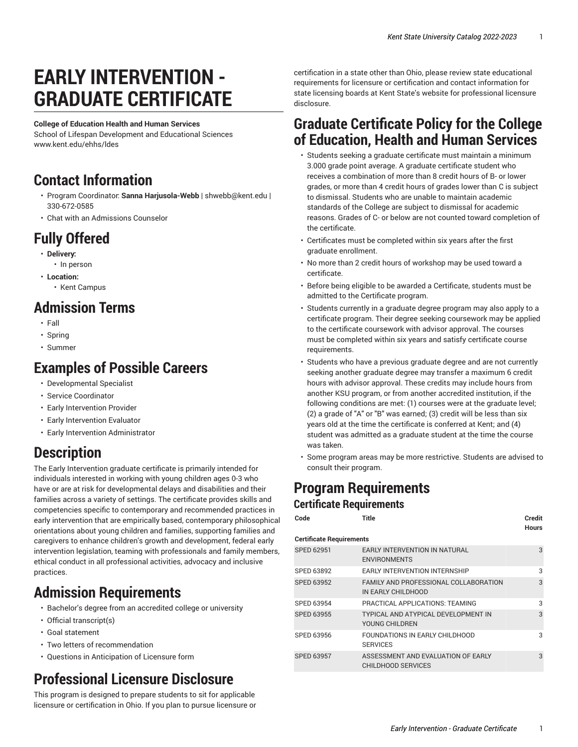# **EARLY INTERVENTION - GRADUATE CERTIFICATE**

#### **College of Education Health and Human Services**

School of Lifespan Development and Educational Sciences [www.kent.edu/ehhs/ldes](http://www.kent.edu/ehhs/ldes/)

#### **Contact Information**

- Program Coordinator: **Sanna Harjusola-Webb** | [shwebb@kent.edu](mailto: shwebb@kent.edu) | 330-672-0585
- [Chat with an Admissions Counselor](https://www.kent.edu/admissions/graduate/)

## **Fully Offered**

- **Delivery:**
- In person
- **Location:**
	- Kent Campus

#### **Admission Terms**

- Fall
- Spring
- Summer

#### **Examples of Possible Careers**

- Developmental Specialist
- Service Coordinator
- Early Intervention Provider
- Early Intervention Evaluator
- Early Intervention Administrator

## **Description**

The Early Intervention graduate certificate is primarily intended for individuals interested in working with young children ages 0-3 who have or are at risk for developmental delays and disabilities and their families across a variety of settings. The certificate provides skills and competencies specific to contemporary and recommended practices in early intervention that are empirically based, contemporary philosophical orientations about young children and families, supporting families and caregivers to enhance children's growth and development, federal early intervention legislation, teaming with professionals and family members, ethical conduct in all professional activities, advocacy and inclusive practices.

### **Admission Requirements**

- Bachelor's degree from an accredited college or university
- Official transcript(s)
- Goal statement
- Two letters of recommendation
- Questions in Anticipation of Licensure form

## **Professional Licensure Disclosure**

This program is designed to prepare students to sit for applicable licensure or certification in Ohio. If you plan to pursue licensure or

certification in a state other than Ohio, please review state educational requirements for licensure or certification and contact information for state licensing boards at Kent State's website for [professional](https://www.kent.edu/node/926791/) licensure [disclosure.](https://www.kent.edu/node/926791/)

#### **Graduate Certificate Policy for the College of Education, Health and Human Services**

- Students seeking a graduate certificate must maintain a minimum 3.000 grade point average. A graduate certificate student who receives a combination of more than 8 credit hours of B- or lower grades, or more than 4 credit hours of grades lower than C is subject to dismissal. Students who are unable to maintain academic standards of the College are subject to dismissal for academic reasons. Grades of C- or below are not counted toward completion of the certificate.
- Certificates must be completed within six years after the first graduate enrollment.
- No more than 2 credit hours of workshop may be used toward a certificate.
- Before being eligible to be awarded a Certificate, students must be admitted to the Certificate program.
- Students currently in a graduate degree program may also apply to a certificate program. Their degree seeking coursework may be applied to the certificate coursework with advisor approval. The courses must be completed within six years and satisfy certificate course requirements.
- Students who have a previous graduate degree and are not currently seeking another graduate degree may transfer a maximum 6 credit hours with advisor approval. These credits may include hours from another KSU program, or from another accredited institution, if the following conditions are met: (1) courses were at the graduate level; (2) a grade of "A" or "B" was earned; (3) credit will be less than six years old at the time the certificate is conferred at Kent; and (4) student was admitted as a graduate student at the time the course was taken.
- Some program areas may be more restrictive. Students are advised to consult their program.

#### **Program Requirements Certificate Requirements**

| Title                                                           | Credit<br><b>Hours</b> |
|-----------------------------------------------------------------|------------------------|
| <b>Certificate Requirements</b>                                 |                        |
| <b>EARLY INTERVENTION IN NATURAL</b><br><b>ENVIRONMENTS</b>     | 3                      |
| <b>EARLY INTERVENTION INTERNSHIP</b>                            | 3                      |
| FAMILY AND PROFESSIONAL COLLABORATION<br>IN EARLY CHILDHOOD     | 3                      |
| PRACTICAL APPLICATIONS: TEAMING                                 | 3                      |
| TYPICAL AND ATYPICAL DEVELOPMENT IN<br>YOUNG CHILDREN           | 3                      |
| FOUNDATIONS IN EARLY CHILDHOOD<br><b>SERVICES</b>               | 3                      |
| ASSESSMENT AND EVALUATION OF EARLY<br><b>CHILDHOOD SERVICES</b> | 3                      |
|                                                                 |                        |